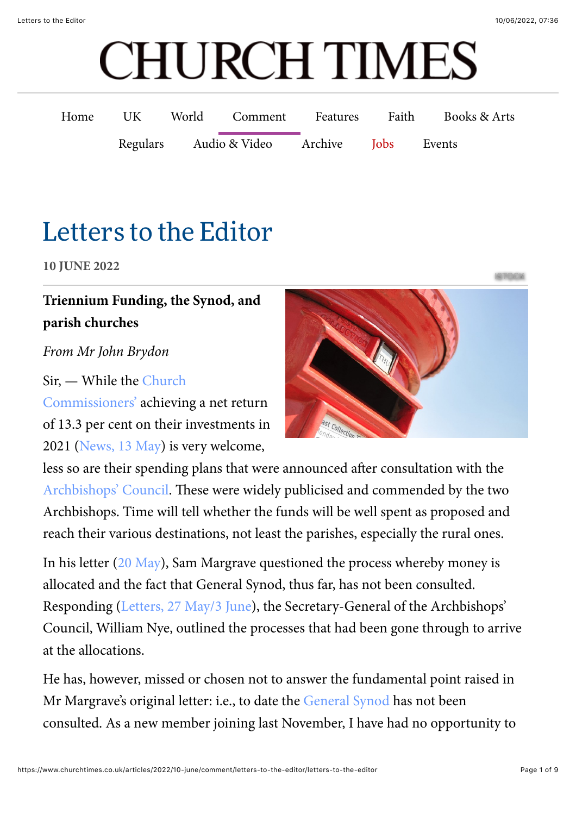# **CHURCH TIMES**

| Home | UK | World Comment Features              |  | Faith | Books & Arts |
|------|----|-------------------------------------|--|-------|--------------|
|      |    | Regulars Audio & Video Archive Jobs |  |       | Events       |

# Letter[s to the Edi](https://www.churchtimes.co.uk/regulars/caption-competition)tor

**10 JUNE 2022**

# $\overline{\text{Triennim}\text{ Funding}},$  the Synod, and parish churches

### [100 years ago](https://www.churchtimes.co.uk/regulars/100-years-ago) *From Mr John Brydon*

## [Sir, — While the Church](https://www.churchtimes.co.uk/topics/church-commissioners)

Commissio[ners' achie](https://www.churchtimes.co.uk/regulars/cookery)ving a net return of 13.3 per c[ent on their](https://www.churchtimes.co.uk/regulars/gardening) investments in 2021 ([News, 13 May](https://www.churchtimes.co.uk/articles/2022/13-may/news/uk/archbishops-announce-big-rise-in-commissioners-support-for-ministry)) is very welcome,



[Archbishops' Council](https://www.churchtimes.co.uk/topics/archbishops-council)[.](https://www.churchtimes.co.uk/regulars/holidays) These were widely publicised and commended by the two Archbishop[s. Time](https://www.churchtimes.co.uk/regulars/links) will tell whether the funds will be well spent as proposed and less so are their spending plans that were announced after consultation with the reach their various destinations, not least the parishes, especially the rural ones.

In his letter ([20 May\)](https://www.churchtimes.co.uk/articles/2022/20-may/comment/letters-to-the-editor/letters-to-the-editor), Sam Margrave questioned the process whereby money is allocated and the fact that General Synod, thus far, has not been consulted. Responding ([Letters, 27 May/3 June\)](https://www.churchtimes.co.uk/articles/2022/27-may3-june/comment/letters-to-the-editor/letters-to-the-editor), the Secretary-General of the Archbishops' Council, William Nye, outlined the processes that had been gone through to arrive at the allocations.

He has, however, missed or chosen not to answer the fundamental point raised in Mr Margrave's original letter: i.e., to date the [General Synod](https://www.churchtimes.co.uk/topics/general-synod) has not been consulted. As a new member joining last November, I have had no opportunity to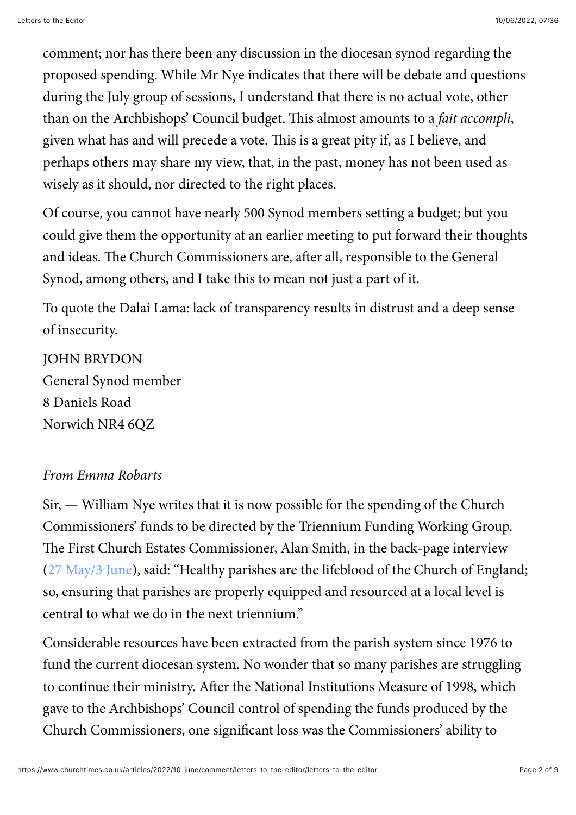comment; nor has there been any discussion in the diocesan synod regarding the proposed spending. While Mr Nye indicates that there will be debate and questions during the July group of sessions, I understand that there is no actual vote, other than on the Archbishops' Council budget. This almost amounts to a *fait accompli*, given what has and will precede a vote. This is a great pity if, as I believe, and perhaps others may share my view, that, in the past, money has not been used as wisely as it should, nor directed to the right places.

Of course, you cannot have nearly 500 Synod members setting a budget; but you could give them the opportunity at an earlier meeting to put forward their thoughts and ideas. The Church Commissioners are, after all, responsible to the General Synod, among others, and I take this to mean not just a part of it.

To quote the Dalai Lama: lack of transparency results in distrust and a deep sense of insecurity.

JOHN BRYDON General Synod member 8 Daniels Road Norwich NR4 6QZ

#### *From Emma Robarts*

Sir, — William Nye writes that it is now possible for the spending of the Church Commissioners' funds to be directed by the Triennium Funding Working Group. The First Church Estates Commissioner, Alan Smith, in the back-page interview ([27 May/3 June](https://www.churchtimes.co.uk/articles/2022/27-may3-june/features/interviews/interview-alan-smith-first-church-estates-commissioner)), said: "Healthy parishes are the lifeblood of the Church of England; so, ensuring that parishes are properly equipped and resourced at a local level is central to what we do in the next triennium."

Considerable resources have been extracted from the parish system since 1976 to fund the current diocesan system. No wonder that so many parishes are struggling to continue their ministry. After the National Institutions Measure of 1998, which gave to the Archbishops' Council control of spending the funds produced by the Church Commissioners, one significant loss was the Commissioners' ability to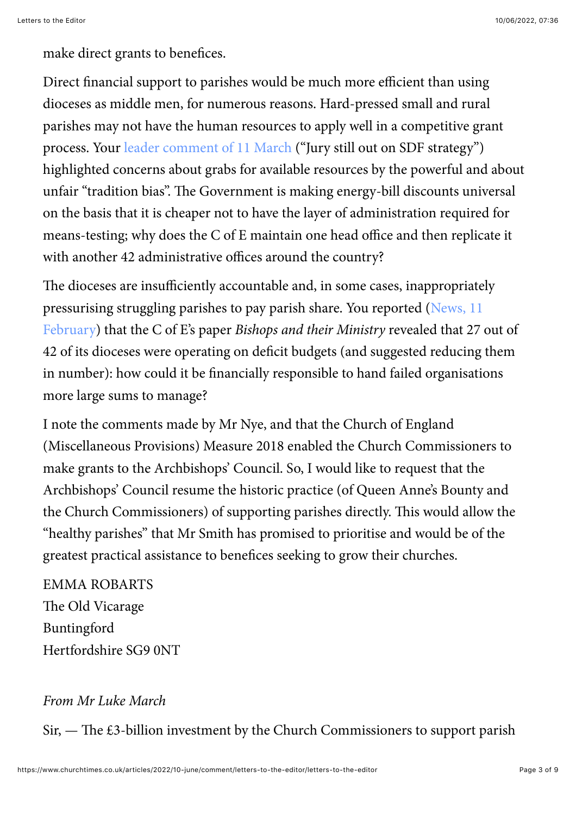make direct grants to benefices.

Direct financial support to parishes would be much more efficient than using dioceses as middle men, for numerous reasons. Hard-pressed small and rural parishes may not have the human resources to apply well in a competitive grant process. Your [leader comment of 11 March \(](https://www.churchtimes.co.uk/articles/2022/11-march/comment/leader-comment/leader-comment-jury-still-out-on-sdf-strategy)"Jury still out on SDF strategy") highlighted concerns about grabs for available resources by the powerful and about unfair "tradition bias". The Government is making energy-bill discounts universal on the basis that it is cheaper not to have the layer of administration required for means-testing; why does the  $C$  of  $E$  maintain one head office and then replicate it with another 42 administrative offices around the country?

The dioceses are insufficiently accountable and, in some cases, inappropriately [pressurising struggling parishes to pay parish share. You reported \(News, 11](https://www.churchtimes.co.uk/articles/2022/11-february/news/uk/fewer-dioceses-specialist-bishops-archbishops-confidential-paper-revealed-in-detail) February) that the C of E's paper *Bishops and their Ministry* revealed that 27 out of 42 of its dioceses were operating on deficit budgets (and suggested reducing them in number): how could it be financially responsible to hand failed organisations more large sums to manage?

I note the comments made by Mr Nye, and that the Church of England (Miscellaneous Provisions) Measure 2018 enabled the Church Commissioners to make grants to the Archbishops' Council. So, I would like to request that the Archbishops' Council resume the historic practice (of Queen Anne's Bounty and the Church Commissioners) of supporting parishes directly. This would allow the "healthy parishes" that Mr Smith has promised to prioritise and would be of the greatest practical assistance to benefices seeking to grow their churches.

EMMA ROBARTS The Old Vicarage Buntingford Hertfordshire SG9 0NT

#### *From Mr Luke March*

 $Sir,$  — The £3-billion investment by the Church Commissioners to support parish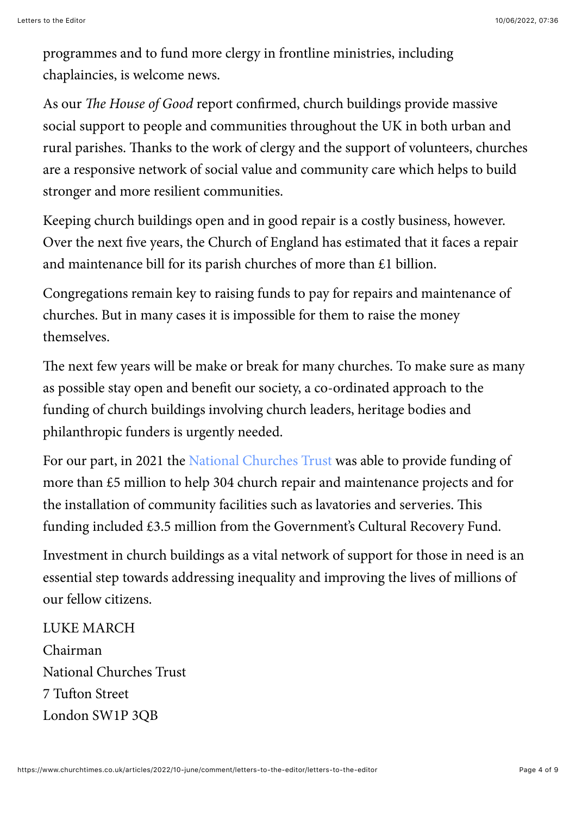programmes and to fund more clergy in frontline ministries, including chaplaincies, is welcome news.

As our *The House of Good* report confirmed, church buildings provide massive social support to people and communities throughout the UK in both urban and rural parishes. Thanks to the work of clergy and the support of volunteers, churches are a responsive network of social value and community care which helps to build stronger and more resilient communities.

Keeping church buildings open and in good repair is a costly business, however. Over the next five years, the Church of England has estimated that it faces a repair and maintenance bill for its parish churches of more than £1 billion.

Congregations remain key to raising funds to pay for repairs and maintenance of churches. But in many cases it is impossible for them to raise the money themselves.

The next few years will be make or break for many churches. To make sure as many as possible stay open and benefit our society, a co-ordinated approach to the funding of church buildings involving church leaders, heritage bodies and philanthropic funders is urgently needed.

For our part, in 2021 the [National Churches Trust](https://www.churchtimes.co.uk/topics/national-churches-trust-nct) was able to provide funding of more than £5 million to help 304 church repair and maintenance projects and for the installation of community facilities such as lavatories and serveries. This funding included £3.5 million from the Government's Cultural Recovery Fund.

Investment in church buildings as a vital network of support for those in need is an essential step towards addressing inequality and improving the lives of millions of our fellow citizens.

LUKE MARCH Chairman National Churches Trust 7 Tufton Street London SW1P 3QB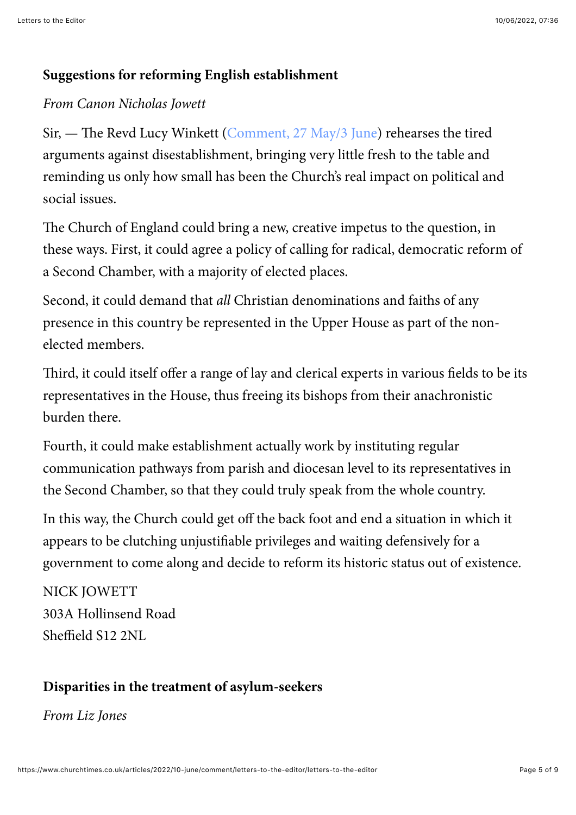#### **Suggestions for reforming English establishment**

#### *From Canon Nicholas Jowett*

Sir, — The Revd Lucy Winkett ([Comment, 27 May/3 June\)](https://www.churchtimes.co.uk/articles/2022/27-may3-june/comment/opinion/platinum-jubilee-the-privilege-of-establishment-must-be-seized) rehearses the tired arguments against disestablishment, bringing very little fresh to the table and reminding us only how small has been the Church's real impact on political and social issues.

The Church of England could bring a new, creative impetus to the question, in these ways. First, it could agree a policy of calling for radical, democratic reform of a Second Chamber, with a majority of elected places.

Second, it could demand that *all* Christian denominations and faiths of any presence in this country be represented in the Upper House as part of the nonelected members.

Third, it could itself offer a range of lay and clerical experts in various fields to be its representatives in the House, thus freeing its bishops from their anachronistic burden there.

Fourth, it could make establishment actually work by instituting regular communication pathways from parish and diocesan level to its representatives in the Second Chamber, so that they could truly speak from the whole country.

In this way, the Church could get off the back foot and end a situation in which it appears to be clutching unjustifiable privileges and waiting defensively for a government to come along and decide to reform its historic status out of existence.

NICK JOWETT 303A Hollinsend Road Sheffield S12 2NL

#### **Disparities in the treatment of asylum-seekers**

*From Liz Jones*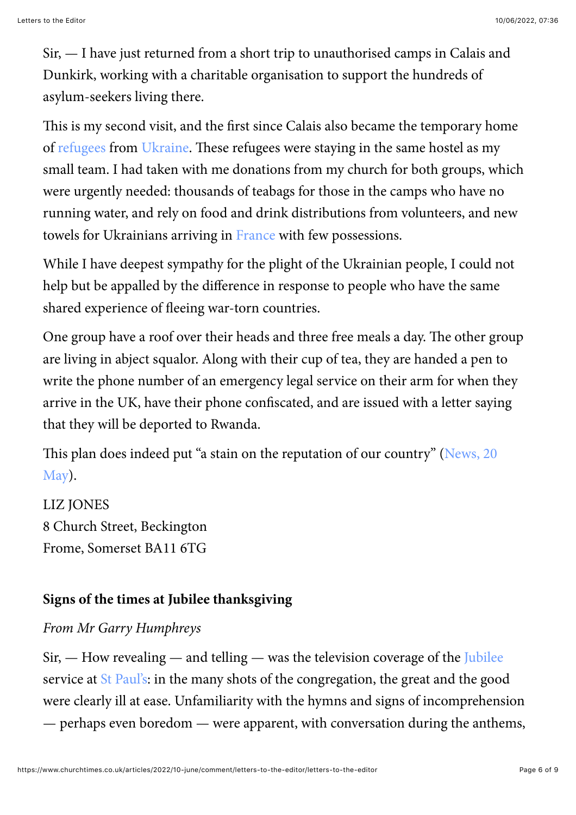Sir, — I have just returned from a short trip to unauthorised camps in Calais and Dunkirk, working with a charitable organisation to support the hundreds of asylum-seekers living there.

This is my second visit, and the first since Calais also became the temporary home of [refugees](https://www.churchtimes.co.uk/topics/refugeesunhcr) from [Ukraine](https://www.churchtimes.co.uk/topics/ukraine). These refugees were staying in the same hostel as my small team. I had taken with me donations from my church for both groups, which were urgently needed: thousands of teabags for those in the camps who have no running water, and rely on food and drink distributions from volunteers, and new towels for Ukrainians arriving in [France](https://www.churchtimes.co.uk/topics/france) with few possessions.

While I have deepest sympathy for the plight of the Ukrainian people, I could not help but be appalled by the difference in response to people who have the same shared experience of fleeing war-torn countries.

One group have a roof over their heads and three free meals a day. The other group are living in abject squalor. Along with their cup of tea, they are handed a pen to write the phone number of an emergency legal service on their arm for when they arrive in the UK, have their phone confiscated, and are issued with a letter saying that they will be deported to Rwanda.

Th[is plan does indeed put "a stain on the reputation of our country" \(News, 20](https://www.churchtimes.co.uk/articles/2022/20-may/news/uk/sir-john-major-rwanda-deportation-plan-a-stain-on-our-country-s-reputation) May).

LIZ JONES 8 Church Street, Beckington Frome, Somerset BA11 6TG

#### **Signs of the times at Jubilee thanksgiving**

#### *From Mr Garry Humphreys*

 $Sir,$   $\rightarrow$  How revealing  $\rightarrow$  and telling  $\rightarrow$  was the television coverage of the [Jubilee](https://www.churchtimes.co.uk/topics/platinum-jubilee) service at [St Paul's](https://www.churchtimes.co.uk/topics/st-paul-s-cathedral): in the many shots of the congregation, the great and the good were clearly ill at ease. Unfamiliarity with the hymns and signs of incomprehension — perhaps even boredom — were apparent, with conversation during the anthems,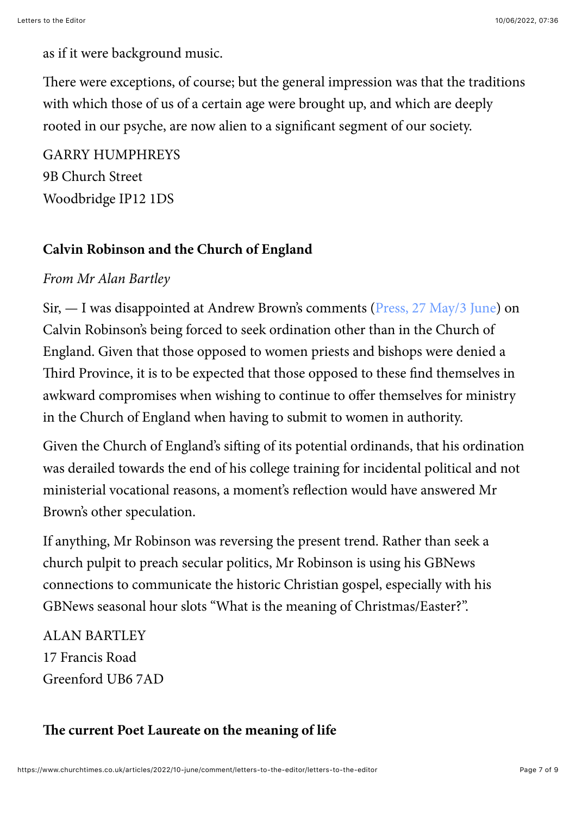as if it were background music.

There were exceptions, of course; but the general impression was that the traditions with which those of us of a certain age were brought up, and which are deeply rooted in our psyche, are now alien to a significant segment of our society.

GARRY HUMPHREYS 9B Church Street Woodbridge IP12 1DS

#### **Calvin Robinson and the Church of England**

#### *From Mr Alan Bartley*

Sir, — I was disappointed at Andrew Brown's comments ([Press, 27 May/3 June](https://www.churchtimes.co.uk/articles/2022/27-may3-june/comment/columnists/press-gateway-to-transcendence-remains-closed)) on Calvin Robinson's being forced to seek ordination other than in the Church of England. Given that those opposed to women priests and bishops were denied a Third Province, it is to be expected that those opposed to these find themselves in awkward compromises when wishing to continue to offer themselves for ministry in the Church of England when having to submit to women in authority.

Given the Church of England's sifting of its potential ordinands, that his ordination was derailed towards the end of his college training for incidental political and not ministerial vocational reasons, a moment's reflection would have answered Mr Brown's other speculation.

If anything, Mr Robinson was reversing the present trend. Rather than seek a church pulpit to preach secular politics, Mr Robinson is using his GBNews connections to communicate the historic Christian gospel, especially with his GBNews seasonal hour slots "What is the meaning of Christmas/Easter?".

ALAN BARTLEY 17 Francis Road Greenford UB6 7AD

#### **!e current Poet Laureate on the meaning of life**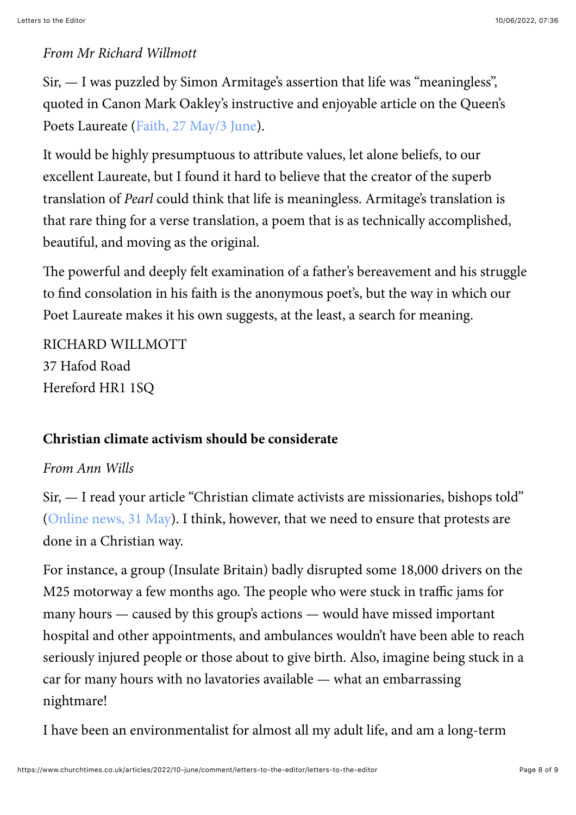#### *From Mr Richard Willmott*

Sir, — I was puzzled by Simon Armitage's assertion that life was "meaningless", quoted in Canon Mark Oakley's instructive and enjoyable article on the Queen's Poets Laureate [\(Faith, 27 May/3 June\)](https://www.churchtimes.co.uk/articles/2022/27-may3-june/faith/faith-features/heaven-found-in-ordinary).

It would be highly presumptuous to attribute values, let alone beliefs, to our excellent Laureate, but I found it hard to believe that the creator of the superb translation of *Pearl* could think that life is meaningless. Armitage's translation is that rare thing for a verse translation, a poem that is as technically accomplished, beautiful, and moving as the original.

The powerful and deeply felt examination of a father's bereavement and his struggle to find consolation in his faith is the anonymous poet's, but the way in which our Poet Laureate makes it his own suggests, at the least, a search for meaning.

RICHARD WILLMOTT 37 Hafod Road Hereford HR1 1SQ

#### **Christian climate activism should be considerate**

#### *From Ann Wills*

Sir, — I read your article "Christian climate activists are missionaries, bishops told" ([Online news, 31 May\)](https://www.churchtimes.co.uk/articles/2022/10-june/news/uk/christian-climate-activists-are-missionaries-bishops-are-told). I think, however, that we need to ensure that protests are done in a Christian way.

For instance, a group (Insulate Britain) badly disrupted some 18,000 drivers on the M25 motorway a few months ago. The people who were stuck in traffic jams for many hours — caused by this group's actions — would have missed important hospital and other appointments, and ambulances wouldn't have been able to reach seriously injured people or those about to give birth. Also, imagine being stuck in a car for many hours with no lavatories available — what an embarrassing nightmare!

I have been an environmentalist for almost all my adult life, and am a long-term